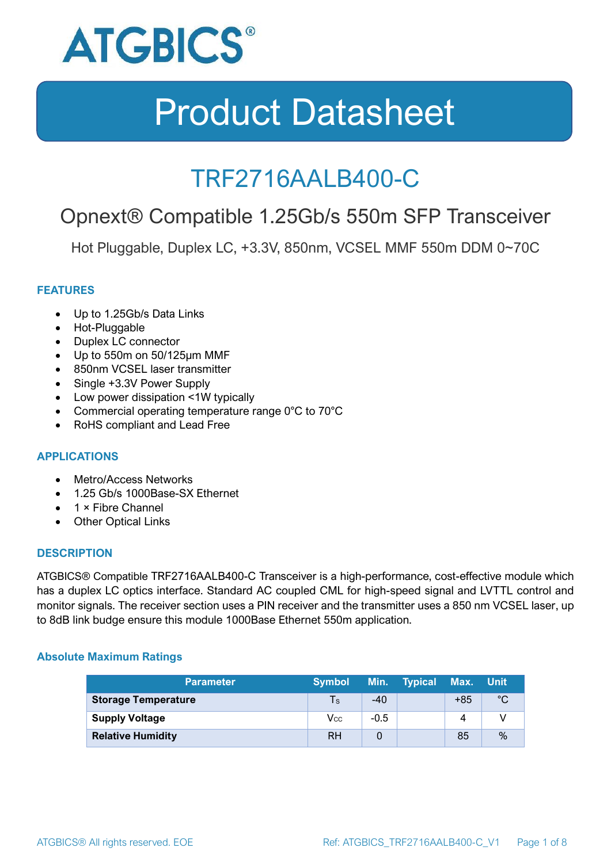

### TRF2716AALB400-C

### Opnext® Compatible 1.25Gb/s 550m SFP Transceiver

Hot Pluggable, Duplex LC, +3.3V, 850nm, VCSEL MMF 550m DDM 0~70C

#### **FEATURES**

- Up to 1.25Gb/s Data Links
- Hot-Pluggable
- Duplex LC connector
- Up to 550m on 50/125μm MMF
- 850nm VCSEL laser transmitter
- Single +3.3V Power Supply
- Low power dissipation <1W typically
- Commercial operating temperature range 0°C to 70°C
- RoHS compliant and Lead Free

#### **APPLICATIONS**

- Metro/Access Networks
- 1.25 Gb/s 1000Base-SX Ethernet
- 1 × Fibre Channel
- Other Optical Links

#### **DESCRIPTION**

ATGBICS® Compatible TRF2716AALB400-C Transceiver is a high-performance, cost-effective module which has a duplex LC optics interface. Standard AC coupled CML for high-speed signal and LVTTL control and monitor signals. The receiver section uses a PIN receiver and the transmitter uses a 850 nm VCSEL laser, up to 8dB link budge ensure this module 1000Base Ethernet 550m application.

#### **Absolute Maximum Ratings**

| <b>Parameter</b>           | <b>Symbol</b> |        | Min. Typical | Max. Unit |      |
|----------------------------|---------------|--------|--------------|-----------|------|
| <b>Storage Temperature</b> | $\mathsf{Ts}$ | $-40$  |              | $+85$     | °C   |
| <b>Supply Voltage</b>      | Vcc           | $-0.5$ |              | 4         |      |
| <b>Relative Humidity</b>   | <b>RH</b>     |        |              | 85        | $\%$ |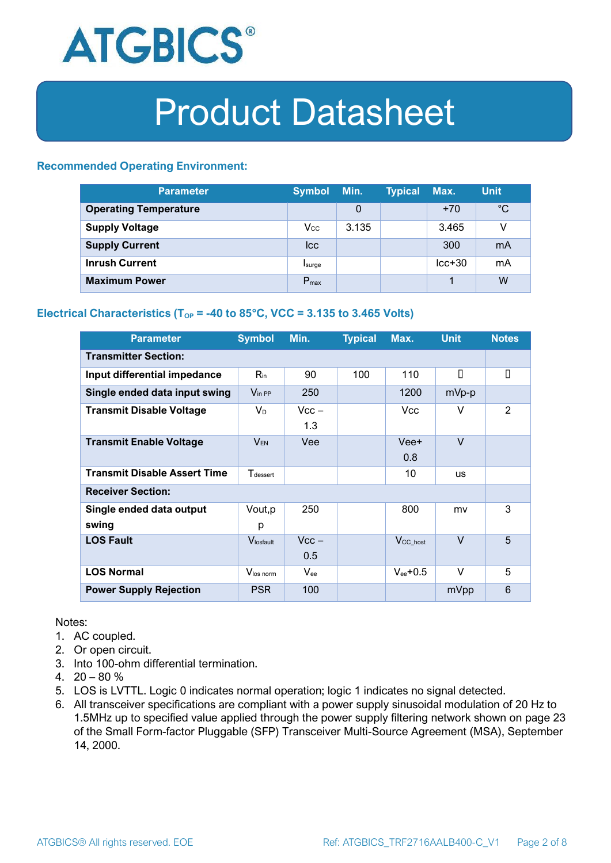

#### **Recommended Operating Environment:**

| <b>Parameter</b>             | <b>Symbol</b>    | Min.  | <b>Typical</b> | Max.     | <b>Unit</b> |
|------------------------------|------------------|-------|----------------|----------|-------------|
| <b>Operating Temperature</b> |                  | 0     |                | $+70$    | $^{\circ}C$ |
| <b>Supply Voltage</b>        | $V_{\rm CC}$     | 3.135 |                | 3.465    | v           |
| <b>Supply Current</b>        | <b>I</b> cc      |       |                | 300      | mA          |
| <b>Inrush Current</b>        | Isurge           |       |                | $lcc+30$ | mA          |
| <b>Maximum Power</b>         | $P_{\text{max}}$ |       |                |          | W           |

#### **Electrical Characteristics** ( $T_{OP}$  = -40 to 85°C, VCC = 3.135 to 3.465 Volts)

| <b>Parameter</b>                    | <b>Symbol</b>         | Min.           | <b>Typical</b> | Max.                  | <b>Unit</b> | <b>Notes</b>   |
|-------------------------------------|-----------------------|----------------|----------------|-----------------------|-------------|----------------|
| <b>Transmitter Section:</b>         |                       |                |                |                       |             |                |
| Input differential impedance        | $R_{in}$              | 90             | 100            | 110                   | П           | $\Box$         |
| Single ended data input swing       | $V_{\text{in PP}}$    | 250            |                | 1200                  | mVp-p       |                |
| <b>Transmit Disable Voltage</b>     | $V_D$                 | $Vcc -$<br>1.3 |                | Vcc.                  | v           | 2              |
| <b>Transmit Enable Voltage</b>      | <b>VEN</b>            | Vee            |                | Vee+<br>0.8           | $\vee$      |                |
| <b>Transmit Disable Assert Time</b> | $T_{\rm dessert}$     |                |                | 10                    | <b>us</b>   |                |
| <b>Receiver Section:</b>            |                       |                |                |                       |             |                |
| Single ended data output<br>swing   | Vout, p<br>р          | 250            |                | 800                   | mv          | 3              |
| <b>LOS Fault</b>                    | $V_{\text{losfault}}$ | $Vcc -$<br>0.5 |                | $V_{\text{CC\_host}}$ | $\vee$      | $\overline{5}$ |
| <b>LOS Normal</b>                   | Vlos norm             | $V_{ee}$       |                | $V_{ee}$ +0.5         | v           | 5              |
| <b>Power Supply Rejection</b>       | <b>PSR</b>            | 100            |                |                       | mVpp        | 6              |

Notes:

- 1. AC coupled.
- 2. Or open circuit.
- 3. Into 100-ohm differential termination.
- 4.  $20 80 \%$
- 5. LOS is LVTTL. Logic 0 indicates normal operation; logic 1 indicates no signal detected.
- 6. All transceiver specifications are compliant with a power supply sinusoidal modulation of 20 Hz to 1.5MHz up to specified value applied through the power supply filtering network shown on page 23 of the Small Form-factor Pluggable (SFP) Transceiver Multi-Source Agreement (MSA), September 14, 2000.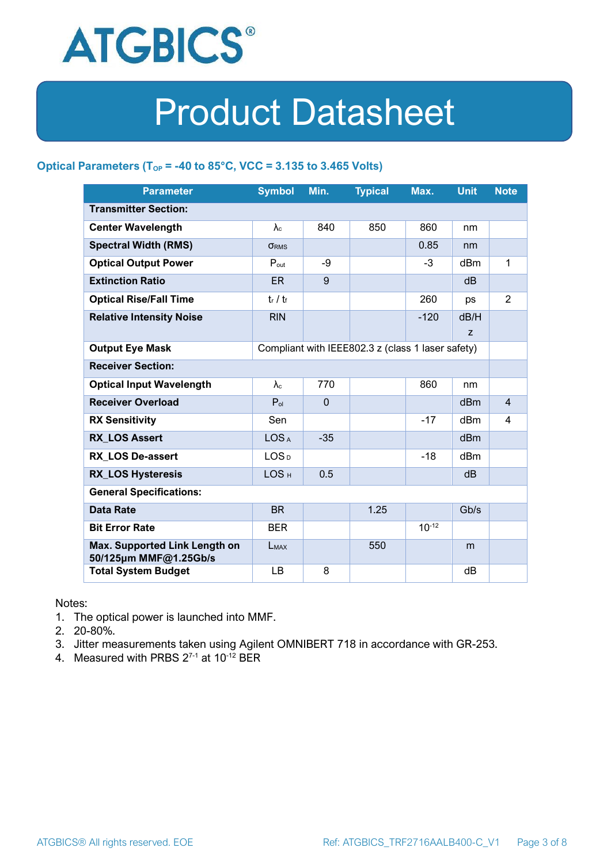

#### **Optical Parameters** ( $T_{OP}$  = -40 to 85°C, VCC = 3.135 to 3.465 Volts)

| <b>Parameter</b>                                                            | <b>Symbol</b>          | Min.         | <b>Typical</b> | Max.       | <b>Unit</b>     | <b>Note</b>    |
|-----------------------------------------------------------------------------|------------------------|--------------|----------------|------------|-----------------|----------------|
| <b>Transmitter Section:</b>                                                 |                        |              |                |            |                 |                |
| <b>Center Wavelength</b>                                                    | $\lambda_c$            | 840          | 850            | 860        | nm              |                |
| <b>Spectral Width (RMS)</b>                                                 | <b>ORMS</b>            |              |                | 0.85       | nm              |                |
| <b>Optical Output Power</b>                                                 | $P_{\text{out}}$       | -9           |                | $-3$       | dBm             | 1              |
| <b>Extinction Ratio</b>                                                     | ER                     | 9            |                |            | dB              |                |
| <b>Optical Rise/Fall Time</b>                                               | $t_r / t_f$            |              |                | 260        | ps              | $\overline{2}$ |
| <b>Relative Intensity Noise</b>                                             | <b>RIN</b>             |              |                | $-120$     | dB/H            |                |
|                                                                             |                        |              |                |            | z               |                |
| Compliant with IEEE802.3 z (class 1 laser safety)<br><b>Output Eye Mask</b> |                        |              |                |            |                 |                |
| <b>Receiver Section:</b>                                                    |                        |              |                |            |                 |                |
| <b>Optical Input Wavelength</b>                                             | $\lambda$ <sub>c</sub> | 770          |                | 860        | nm              |                |
| <b>Receiver Overload</b>                                                    | $P_{ol}$               | $\mathbf{0}$ |                |            | dBm             | $\overline{4}$ |
| <b>RX Sensitivity</b>                                                       | Sen                    |              |                | $-17$      | dB <sub>m</sub> | $\overline{4}$ |
| <b>RX LOS Assert</b>                                                        | LOS <sub>A</sub>       | $-35$        |                |            | d <sub>Bm</sub> |                |
| <b>RX_LOS De-assert</b>                                                     | LOS <sub>D</sub>       |              |                | $-18$      | dBm             |                |
| <b>RX_LOS Hysteresis</b>                                                    | LOS <sub>H</sub>       | 0.5          |                |            | dB              |                |
| <b>General Specifications:</b>                                              |                        |              |                |            |                 |                |
| <b>Data Rate</b>                                                            | <b>BR</b>              |              | 1.25           |            | Gb/s            |                |
| <b>Bit Error Rate</b>                                                       | <b>BER</b>             |              |                | $10^{-12}$ |                 |                |
| Max. Supported Link Length on<br>50/125µm MMF@1.25Gb/s                      | LMAX                   |              | 550            |            | m               |                |
| <b>Total System Budget</b>                                                  | LB                     | 8            |                |            | dB              |                |

Notes:

- 1. The optical power is launched into MMF.
- 2. 20-80%.
- 3. Jitter measurements taken using Agilent OMNIBERT 718 in accordance with GR-253.
- 4. Measured with PRBS  $2^{7-1}$  at 10<sup>-12</sup> BER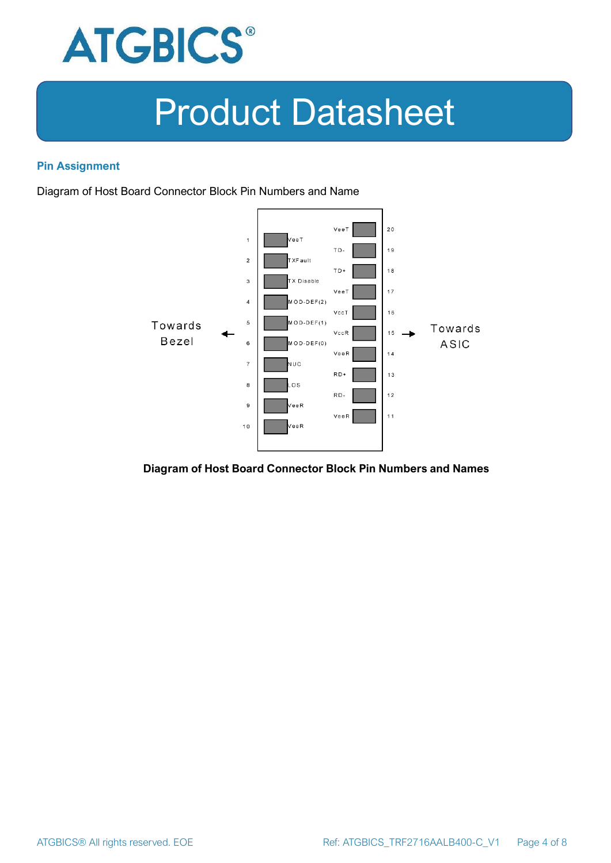

#### **Pin Assignment**

Diagram of Host Board Connector Block Pin Numbers and Name



#### **Diagram of Host Board Connector Block Pin Numbers and Names**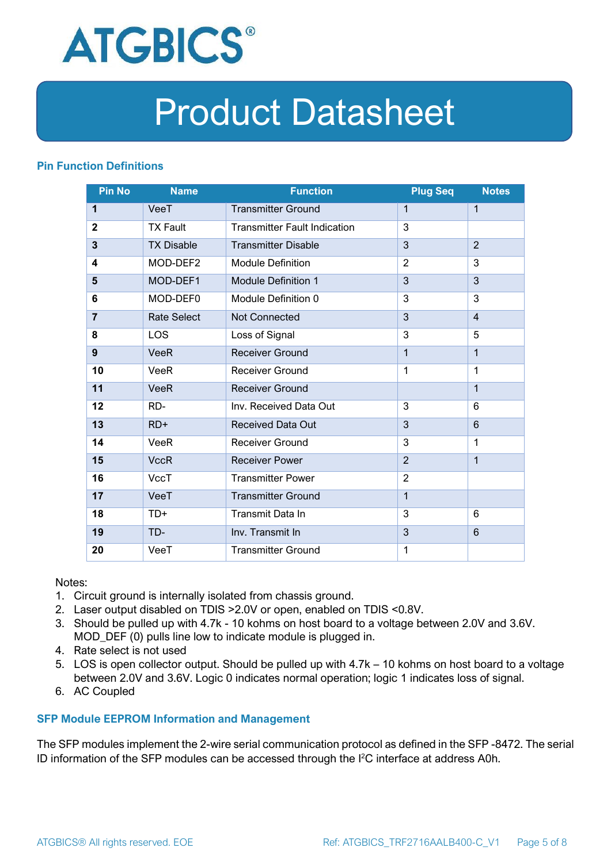

#### **Pin Function Definitions**

| <b>Pin No</b>           | <b>Name</b>        | <b>Function</b>                     | <b>Plug Seq</b> | <b>Notes</b>   |
|-------------------------|--------------------|-------------------------------------|-----------------|----------------|
| 1                       | VeeT               | <b>Transmitter Ground</b>           | 1               | 1              |
| $\overline{2}$          | <b>TX Fault</b>    | <b>Transmitter Fault Indication</b> | 3               |                |
| $\overline{\mathbf{3}}$ | <b>TX Disable</b>  | <b>Transmitter Disable</b>          | 3               | $\overline{2}$ |
| 4                       | MOD-DEF2           | <b>Module Definition</b>            | $\overline{2}$  | 3              |
| 5                       | MOD-DEF1           | <b>Module Definition 1</b>          | 3               | 3              |
| 6                       | MOD-DEF0           | Module Definition 0                 | 3               | 3              |
| $\overline{7}$          | <b>Rate Select</b> | <b>Not Connected</b>                | 3               | $\overline{4}$ |
| 8                       | <b>LOS</b>         | Loss of Signal                      | 3               | 5              |
| 9                       | <b>VeeR</b>        | <b>Receiver Ground</b>              | $\mathbf{1}$    | 1              |
| 10                      | <b>VeeR</b>        | <b>Receiver Ground</b>              | 1               | 1              |
| 11                      | <b>VeeR</b>        | <b>Receiver Ground</b>              |                 | $\mathbf 1$    |
| 12                      | RD-                | Inv. Received Data Out              | 3               | 6              |
| 13                      | $RD+$              | <b>Received Data Out</b>            | 3               | 6              |
| 14                      | <b>VeeR</b>        | Receiver Ground                     | 3               | 1              |
| 15                      | <b>VccR</b>        | <b>Receiver Power</b>               | $\overline{2}$  | 1              |
| 16                      | <b>VccT</b>        | <b>Transmitter Power</b>            | $\overline{2}$  |                |
| 17                      | VeeT               | <b>Transmitter Ground</b>           | $\mathbf{1}$    |                |
| 18                      | TD+                | Transmit Data In                    | 3               | 6              |
| 19                      | TD-                | Inv. Transmit In                    | 3               | 6              |
| 20                      | VeeT               | <b>Transmitter Ground</b>           | 1               |                |

Notes:

- 1. Circuit ground is internally isolated from chassis ground.
- 2. Laser output disabled on TDIS >2.0V or open, enabled on TDIS <0.8V.
- 3. Should be pulled up with 4.7k 10 kohms on host board to a voltage between 2.0V and 3.6V. MOD\_DEF (0) pulls line low to indicate module is plugged in.
- 4. Rate select is not used
- 5. LOS is open collector output. Should be pulled up with 4.7k 10 kohms on host board to a voltage between 2.0V and 3.6V. Logic 0 indicates normal operation; logic 1 indicates loss of signal.
- 6. AC Coupled

#### **SFP Module EEPROM Information and Management**

The SFP modules implement the 2-wire serial communication protocol as defined in the SFP -8472. The serial ID information of the SFP modules can be accessed through the I2C interface at address A0h.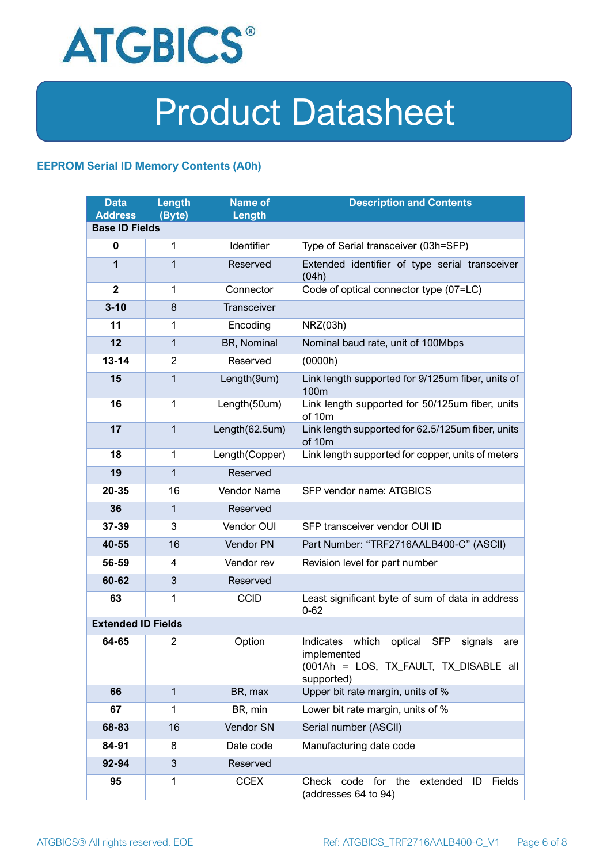

#### **EEPROM Serial ID Memory Contents (A0h)**

| <b>Data</b><br><b>Address</b> | <b>Length</b><br>(Byte) | <b>Name of</b><br>Length | <b>Description and Contents</b>                                                                                                   |  |  |
|-------------------------------|-------------------------|--------------------------|-----------------------------------------------------------------------------------------------------------------------------------|--|--|
| <b>Base ID Fields</b>         |                         |                          |                                                                                                                                   |  |  |
| $\mathbf 0$                   | 1                       | Identifier               | Type of Serial transceiver (03h=SFP)                                                                                              |  |  |
| 1                             | 1                       | Reserved                 | Extended identifier of type serial transceiver<br>(04h)                                                                           |  |  |
| $\overline{2}$                | 1                       | Connector                | Code of optical connector type (07=LC)                                                                                            |  |  |
| $3 - 10$                      | 8                       | <b>Transceiver</b>       |                                                                                                                                   |  |  |
| 11                            | 1                       | Encoding                 | NRZ(03h)                                                                                                                          |  |  |
| 12                            | $\mathbf{1}$            | BR, Nominal              | Nominal baud rate, unit of 100Mbps                                                                                                |  |  |
| $13 - 14$                     | $\overline{2}$          | Reserved                 | (0000h)                                                                                                                           |  |  |
| 15                            | 1                       | Length(9um)              | Link length supported for 9/125um fiber, units of<br>100 <sub>m</sub>                                                             |  |  |
| 16                            | $\mathbf 1$             | Length(50um)             | Link length supported for 50/125um fiber, units<br>of 10m                                                                         |  |  |
| 17                            | $\mathbf{1}$            | Length(62.5um)           | Link length supported for 62.5/125um fiber, units<br>of 10m                                                                       |  |  |
| 18                            | $\mathbf{1}$            | Length(Copper)           | Link length supported for copper, units of meters                                                                                 |  |  |
| 19                            | 1                       | Reserved                 |                                                                                                                                   |  |  |
| 20-35                         | 16                      | Vendor Name              | SFP vendor name: ATGBICS                                                                                                          |  |  |
| 36                            | 1                       | Reserved                 |                                                                                                                                   |  |  |
| 37-39                         | 3                       | Vendor OUI               | SFP transceiver vendor OUI ID                                                                                                     |  |  |
| 40-55                         | 16                      | Vendor PN                | Part Number: "TRF2716AALB400-C" (ASCII)                                                                                           |  |  |
| 56-59                         | 4                       | Vendor rev               | Revision level for part number                                                                                                    |  |  |
| 60-62                         | 3                       | Reserved                 |                                                                                                                                   |  |  |
| 63                            | 1                       | <b>CCID</b>              | Least significant byte of sum of data in address<br>$0 - 62$                                                                      |  |  |
| <b>Extended ID Fields</b>     |                         |                          |                                                                                                                                   |  |  |
| 64-65                         | 2                       | Option                   | Indicates which<br>optical<br><b>SFP</b><br>signals<br>are<br>implemented<br>(001Ah = LOS, TX FAULT, TX DISABLE all<br>supported) |  |  |
| 66                            | $\mathbf{1}$            | BR, max                  | Upper bit rate margin, units of %                                                                                                 |  |  |
| 67                            | 1                       | BR, min                  | Lower bit rate margin, units of %                                                                                                 |  |  |
| 68-83                         | 16                      | Vendor SN                | Serial number (ASCII)                                                                                                             |  |  |
| 84-91                         | 8                       | Date code                | Manufacturing date code                                                                                                           |  |  |
| 92-94                         | 3                       | Reserved                 |                                                                                                                                   |  |  |
| 95                            | 1                       | <b>CCEX</b>              | Check code for the<br>Fields<br>extended<br>ID<br>(addresses 64 to 94)                                                            |  |  |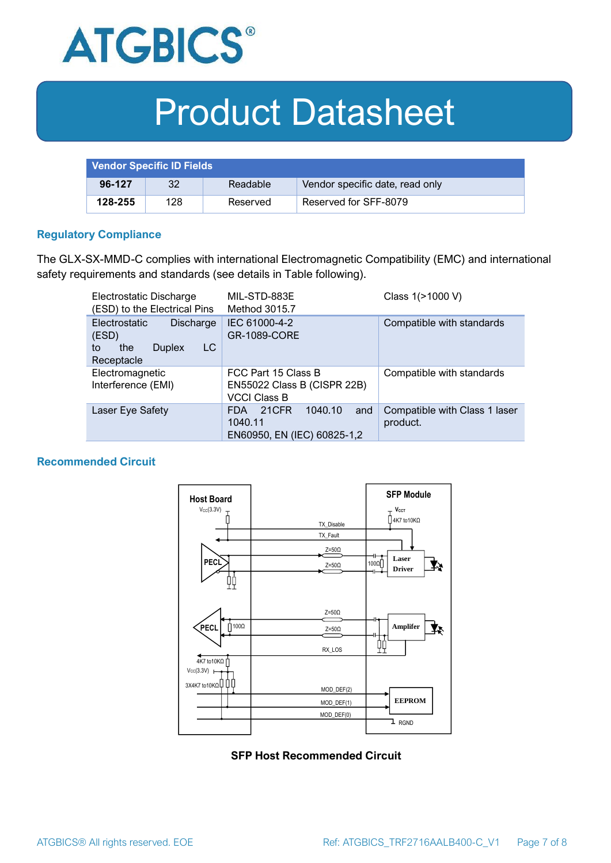

| <b>Vendor Specific ID Fields</b> |     |          |                                 |
|----------------------------------|-----|----------|---------------------------------|
| 96-127                           | 32  | Readable | Vendor specific date, read only |
| 128-255                          | 128 | Reserved | Reserved for SFF-8079           |

#### **Regulatory Compliance**

The GLX-SX-MMD-C complies with international Electromagnetic Compatibility (EMC) and international safety requirements and standards (see details in Table following).

| Electrostatic Discharge<br>(ESD) to the Electrical Pins                                      | MIL-STD-883E<br>Method 3015.7                                                   | Class 1(>1000 V)                          |  |
|----------------------------------------------------------------------------------------------|---------------------------------------------------------------------------------|-------------------------------------------|--|
| <b>Electrostatic</b><br>Discharge<br>(ESD)<br>LC<br>the<br><b>Duplex</b><br>to<br>Receptacle | IEC 61000-4-2<br><b>GR-1089-CORE</b>                                            | Compatible with standards                 |  |
| Electromagnetic<br>Interference (EMI)                                                        | FCC Part 15 Class B<br>EN55022 Class B (CISPR 22B)<br><b>VCCI Class B</b>       | Compatible with standards                 |  |
| Laser Eye Safety                                                                             | 1040.10<br>21CFR<br>and<br><b>FDA</b><br>1040.11<br>EN60950, EN (IEC) 60825-1,2 | Compatible with Class 1 laser<br>product. |  |

#### **Recommended Circuit**



#### **SFP Host Recommended Circuit**